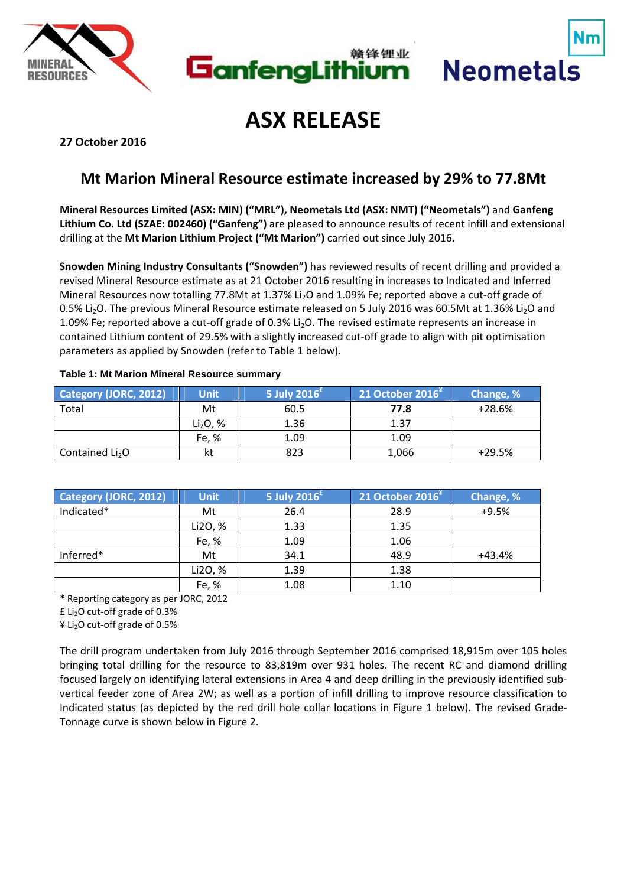





# **ASX RELEASE**

**27 October 2016**

# **Mt Marion Mineral Resource estimate increased by 29% to 77.8Mt**

**Mineral Resources Limited (ASX: MIN) ("MRL"), Neometals Ltd (ASX: NMT) ("Neometals")** and **Ganfeng Lithium Co. Ltd (SZAE: 002460) ("Ganfeng")** are pleased to announce results of recent infill and extensional drilling at the **Mt Marion Lithium Project ("Mt Marion")** carried out since July 2016.

**Snowden Mining Industry Consultants ("Snowden")** has reviewed results of recent drilling and provided a revised Mineral Resource estimate as at 21 October 2016 resulting in increases to Indicated and Inferred Mineral Resources now totalling 77.8Mt at 1.37% Li<sub>2</sub>O and 1.09% Fe; reported above a cut-off grade of 0.5% Li<sub>2</sub>O. The previous Mineral Resource estimate released on 5 July 2016 was 60.5Mt at 1.36% Li<sub>2</sub>O and 1.09% Fe; reported above a cut-off grade of 0.3% Li<sub>2</sub>O. The revised estimate represents an increase in contained Lithium content of 29.5% with a slightly increased cut‐off grade to align with pit optimisation parameters as applied by Snowden (refer to Table 1 below).

| <b>Category (JORC, 2012)</b> | <b>Unit</b>          | 5 July 2016 $^{\text{f}}$ | 21 October 2016 $*$ | Change, % |
|------------------------------|----------------------|---------------------------|---------------------|-----------|
| Total                        | Mt                   | 60.5                      | 77.8                | $+28.6%$  |
|                              | Li <sub>2</sub> O, % | 1.36                      | 1.37                |           |
|                              | Fe, %                | 1.09                      | 1.09                |           |
| Contained $Li2O$             |                      | 823                       | 1,066               | $+29.5%$  |

## **Table 1: Mt Marion Mineral Resource summary**

| Category (JORC, 2012) | <b>Unit</b> | 5 July 2016 $^{\text{E}}$ | 21 October 2016 <sup>*</sup> | Change, % |
|-----------------------|-------------|---------------------------|------------------------------|-----------|
| Indicated*            | Mt          | 26.4                      | 28.9                         | $+9.5%$   |
|                       | Li2O, %     | 1.33                      | 1.35                         |           |
|                       | Fe, %       | 1.09                      | 1.06                         |           |
| Inferred*             | Mt          | 34.1                      | 48.9                         | +43.4%    |
|                       | Li2O, %     | 1.39                      | 1.38                         |           |
|                       | Fe, %       | 1.08                      | 1.10                         |           |

\* Reporting category as per JORC, 2012

£ Li2O cut‐off grade of 0.3%

 $4$  Li<sub>2</sub>O cut-off grade of 0.5%

The drill program undertaken from July 2016 through September 2016 comprised 18,915m over 105 holes bringing total drilling for the resource to 83,819m over 931 holes. The recent RC and diamond drilling focused largely on identifying lateral extensions in Area 4 and deep drilling in the previously identified sub‐ vertical feeder zone of Area 2W; as well as a portion of infill drilling to improve resource classification to Indicated status (as depicted by the red drill hole collar locations in Figure 1 below). The revised Grade‐ Tonnage curve is shown below in Figure 2.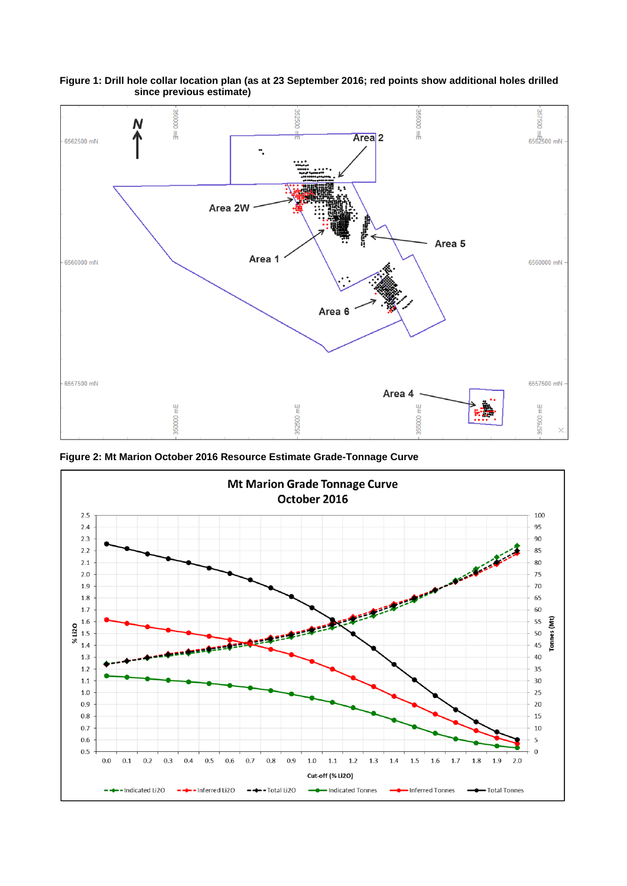

**Figure 1: Drill hole collar location plan (as at 23 September 2016; red points show additional holes drilled since previous estimate)**

**Figure 2: Mt Marion October 2016 Resource Estimate Grade-Tonnage Curve** 

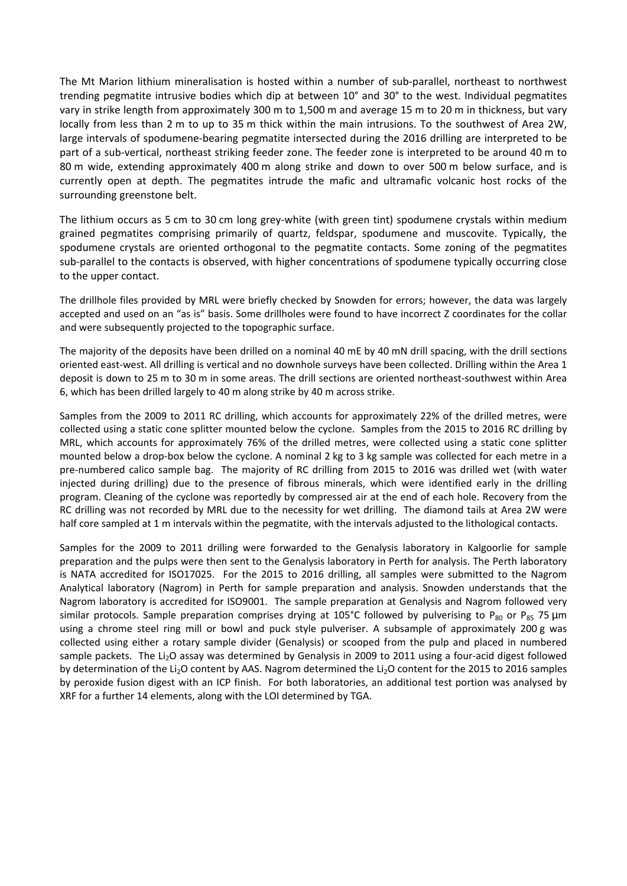The Mt Marion lithium mineralisation is hosted within a number of sub‐parallel, northeast to northwest trending pegmatite intrusive bodies which dip at between 10° and 30° to the west. Individual pegmatites vary in strike length from approximately 300 m to 1,500 m and average 15 m to 20 m in thickness, but vary locally from less than 2 m to up to 35 m thick within the main intrusions. To the southwest of Area 2W, large intervals of spodumene‐bearing pegmatite intersected during the 2016 drilling are interpreted to be part of a sub‐vertical, northeast striking feeder zone. The feeder zone is interpreted to be around 40 m to 80 m wide, extending approximately 400 m along strike and down to over 500 m below surface, and is currently open at depth. The pegmatites intrude the mafic and ultramafic volcanic host rocks of the surrounding greenstone belt.

The lithium occurs as 5 cm to 30 cm long grey-white (with green tint) spodumene crystals within medium grained pegmatites comprising primarily of quartz, feldspar, spodumene and muscovite. Typically, the spodumene crystals are oriented orthogonal to the pegmatite contacts. Some zoning of the pegmatites sub‐parallel to the contacts is observed, with higher concentrations of spodumene typically occurring close to the upper contact.

The drillhole files provided by MRL were briefly checked by Snowden for errors; however, the data was largely accepted and used on an "as is" basis. Some drillholes were found to have incorrect Z coordinates for the collar and were subsequently projected to the topographic surface.

The majority of the deposits have been drilled on a nominal 40 mE by 40 mN drill spacing, with the drill sections oriented east‐west. All drilling is vertical and no downhole surveys have been collected. Drilling within the Area 1 deposit is down to 25 m to 30 m in some areas. The drill sections are oriented northeast‐southwest within Area 6, which has been drilled largely to 40 m along strike by 40 m across strike.

Samples from the 2009 to 2011 RC drilling, which accounts for approximately 22% of the drilled metres, were collected using a static cone splitter mounted below the cyclone. Samples from the 2015 to 2016 RC drilling by MRL, which accounts for approximately 76% of the drilled metres, were collected using a static cone splitter mounted below a drop‐box below the cyclone. A nominal 2 kg to 3 kg sample was collected for each metre in a pre-numbered calico sample bag. The majority of RC drilling from 2015 to 2016 was drilled wet (with water injected during drilling) due to the presence of fibrous minerals, which were identified early in the drilling program. Cleaning of the cyclone was reportedly by compressed air at the end of each hole. Recovery from the RC drilling was not recorded by MRL due to the necessity for wet drilling. The diamond tails at Area 2W were half core sampled at 1 m intervals within the pegmatite, with the intervals adjusted to the lithological contacts.

Samples for the 2009 to 2011 drilling were forwarded to the Genalysis laboratory in Kalgoorlie for sample preparation and the pulps were then sent to the Genalysis laboratory in Perth for analysis. The Perth laboratory is NATA accredited for ISO17025. For the 2015 to 2016 drilling, all samples were submitted to the Nagrom Analytical laboratory (Nagrom) in Perth for sample preparation and analysis. Snowden understands that the Nagrom laboratory is accredited for ISO9001. The sample preparation at Genalysis and Nagrom followed very similar protocols. Sample preparation comprises drying at 105°C followed by pulverising to P<sub>80</sub> or P<sub>85</sub> 75 µm using a chrome steel ring mill or bowl and puck style pulveriser. A subsample of approximately 200 g was collected using either a rotary sample divider (Genalysis) or scooped from the pulp and placed in numbered sample packets. The Li<sub>2</sub>O assay was determined by Genalysis in 2009 to 2011 using a four-acid digest followed by determination of the Li<sub>2</sub>O content by AAS. Nagrom determined the Li<sub>2</sub>O content for the 2015 to 2016 samples by peroxide fusion digest with an ICP finish. For both laboratories, an additional test portion was analysed by XRF for a further 14 elements, along with the LOI determined by TGA.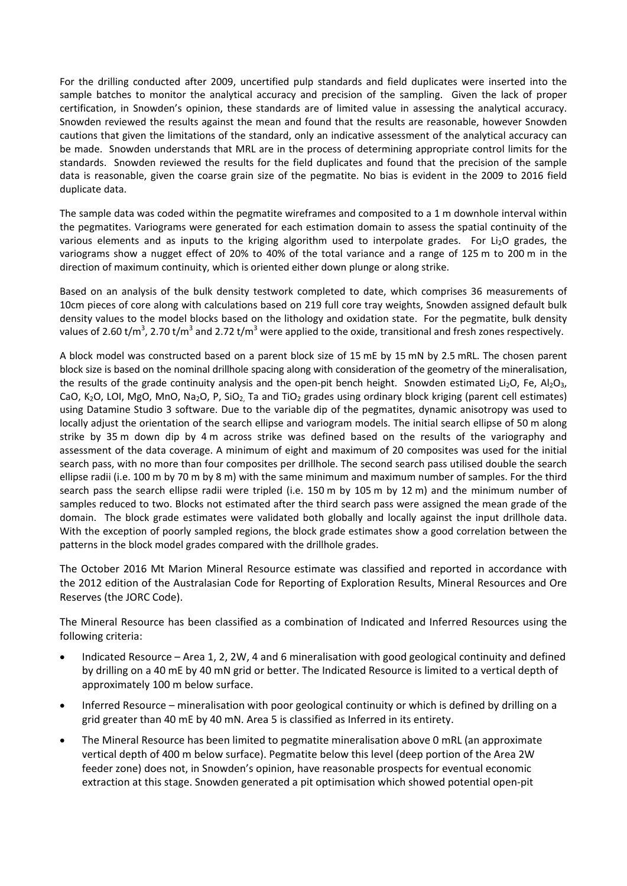For the drilling conducted after 2009, uncertified pulp standards and field duplicates were inserted into the sample batches to monitor the analytical accuracy and precision of the sampling. Given the lack of proper certification, in Snowden's opinion, these standards are of limited value in assessing the analytical accuracy. Snowden reviewed the results against the mean and found that the results are reasonable, however Snowden cautions that given the limitations of the standard, only an indicative assessment of the analytical accuracy can be made. Snowden understands that MRL are in the process of determining appropriate control limits for the standards. Snowden reviewed the results for the field duplicates and found that the precision of the sample data is reasonable, given the coarse grain size of the pegmatite. No bias is evident in the 2009 to 2016 field duplicate data.

The sample data was coded within the pegmatite wireframes and composited to a 1 m downhole interval within the pegmatites. Variograms were generated for each estimation domain to assess the spatial continuity of the various elements and as inputs to the kriging algorithm used to interpolate grades. For Li<sub>2</sub>O grades, the variograms show a nugget effect of 20% to 40% of the total variance and a range of 125 m to 200 m in the direction of maximum continuity, which is oriented either down plunge or along strike.

Based on an analysis of the bulk density testwork completed to date, which comprises 36 measurements of 10cm pieces of core along with calculations based on 219 full core tray weights, Snowden assigned default bulk density values to the model blocks based on the lithology and oxidation state. For the pegmatite, bulk density values of 2.60 t/m<sup>3</sup>, 2.70 t/m<sup>3</sup> and 2.72 t/m<sup>3</sup> were applied to the oxide, transitional and fresh zones respectively.

A block model was constructed based on a parent block size of 15 mE by 15 mN by 2.5 mRL. The chosen parent block size is based on the nominal drillhole spacing along with consideration of the geometry of the mineralisation, the results of the grade continuity analysis and the open-pit bench height. Snowden estimated Li<sub>2</sub>O, Fe, Al<sub>2</sub>O<sub>3</sub>, CaO, K<sub>2</sub>O, LOI, MgO, MnO, Na<sub>2</sub>O, P, SiO<sub>2</sub>, Ta and TiO<sub>2</sub> grades using ordinary block kriging (parent cell estimates) using Datamine Studio 3 software. Due to the variable dip of the pegmatites, dynamic anisotropy was used to locally adjust the orientation of the search ellipse and variogram models. The initial search ellipse of 50 m along strike by 35 m down dip by 4 m across strike was defined based on the results of the variography and assessment of the data coverage. A minimum of eight and maximum of 20 composites was used for the initial search pass, with no more than four composites per drillhole. The second search pass utilised double the search ellipse radii (i.e. 100 m by 70 m by 8 m) with the same minimum and maximum number of samples. For the third search pass the search ellipse radii were tripled (i.e. 150 m by 105 m by 12 m) and the minimum number of samples reduced to two. Blocks not estimated after the third search pass were assigned the mean grade of the domain. The block grade estimates were validated both globally and locally against the input drillhole data. With the exception of poorly sampled regions, the block grade estimates show a good correlation between the patterns in the block model grades compared with the drillhole grades.

The October 2016 Mt Marion Mineral Resource estimate was classified and reported in accordance with the 2012 edition of the Australasian Code for Reporting of Exploration Results, Mineral Resources and Ore Reserves (the JORC Code).

The Mineral Resource has been classified as a combination of Indicated and Inferred Resources using the following criteria:

- Indicated Resource Area 1, 2, 2W, 4 and 6 mineralisation with good geological continuity and defined by drilling on a 40 mE by 40 mN grid or better. The Indicated Resource is limited to a vertical depth of approximately 100 m below surface.
- Inferred Resource mineralisation with poor geological continuity or which is defined by drilling on a grid greater than 40 mE by 40 mN. Area 5 is classified as Inferred in its entirety.
- The Mineral Resource has been limited to pegmatite mineralisation above 0 mRL (an approximate vertical depth of 400 m below surface). Pegmatite below this level (deep portion of the Area 2W feeder zone) does not, in Snowden's opinion, have reasonable prospects for eventual economic extraction at this stage. Snowden generated a pit optimisation which showed potential open‐pit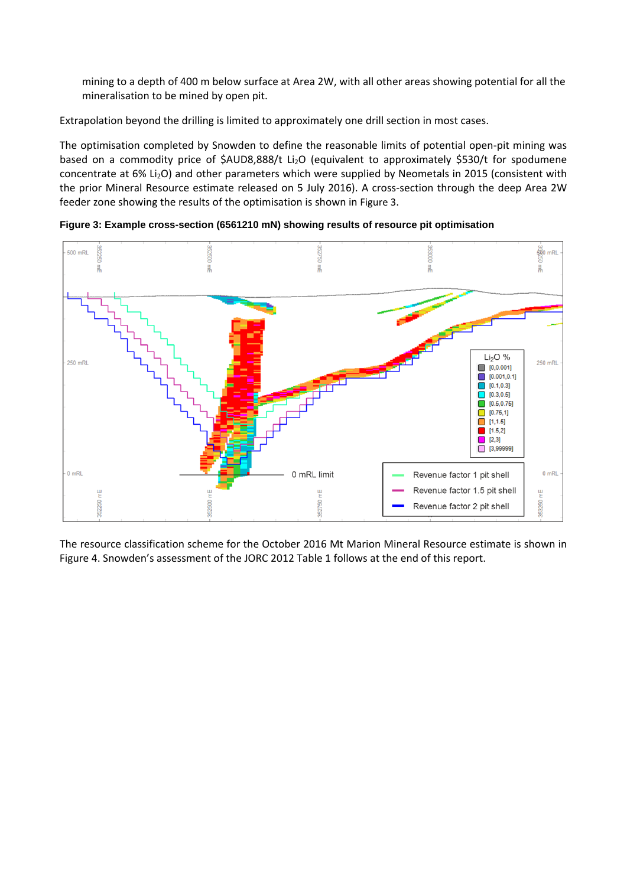mining to a depth of 400 m below surface at Area 2W, with all other areas showing potential for all the mineralisation to be mined by open pit.

Extrapolation beyond the drilling is limited to approximately one drill section in most cases.

The optimisation completed by Snowden to define the reasonable limits of potential open‐pit mining was based on a commodity price of \$AUD8,888/t Li<sub>2</sub>O (equivalent to approximately \$530/t for spodumene concentrate at 6% Li<sub>2</sub>O) and other parameters which were supplied by Neometals in 2015 (consistent with the prior Mineral Resource estimate released on 5 July 2016). A cross-section through the deep Area 2W feeder zone showing the results of the optimisation is shown in Figure 3.

com<br>OS<br>OS<br>
Computer 000898 500 mRL 009298 09729 킒  $\frac{3}{10}$ 킒 릚 릚  $Li<sub>2</sub>O$ % 250 mR 250 mRL 10.0.0011  $\Box$  [0.001,0.1]  $[0.1, 0.3]$  $[0.3, 0.5]$  $[0.5, 0.75]$  $\Box$  [0.75,1]  $[1,1.5]$  $[1.5,2]$  $\blacksquare$  [2,3]  $\Box$  [3,99999]  $0 mRl$ 0 mRL limit  $0$  mRL Revenue factor 1 pit shell Revenue factor 1.5 pit shell 밑 삩 352750 mE 353250 52250 **Digita** Revenue factor 2 pit shell

**Figure 3: Example cross-section (6561210 mN) showing results of resource pit optimisation** 

The resource classification scheme for the October 2016 Mt Marion Mineral Resource estimate is shown in Figure 4. Snowden's assessment of the JORC 2012 Table 1 follows at the end of this report.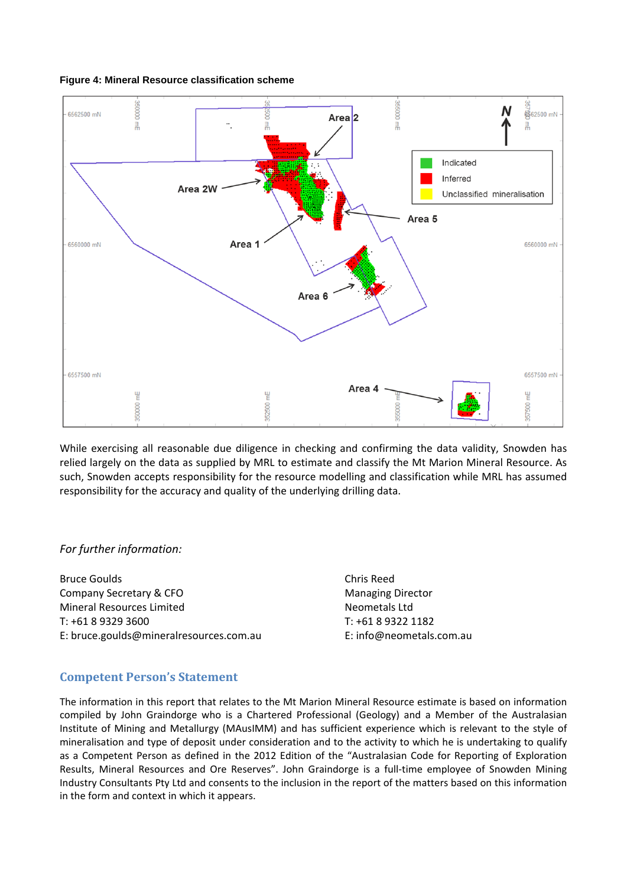#### **Figure 4: Mineral Resource classification scheme**



While exercising all reasonable due diligence in checking and confirming the data validity, Snowden has relied largely on the data as supplied by MRL to estimate and classify the Mt Marion Mineral Resource. As such, Snowden accepts responsibility for the resource modelling and classification while MRL has assumed responsibility for the accuracy and quality of the underlying drilling data.

### *For further information:*

Bruce Goulds Company Secretary & CFO Mineral Resources Limited T: +61 8 9329 3600 E: bruce.goulds@mineralresources.com.au

Chris Reed Managing Director Neometals Ltd T: +61 8 9322 1182 E: info@neometals.com.au

## **Competent Person's Statement**

The information in this report that relates to the Mt Marion Mineral Resource estimate is based on information compiled by John Graindorge who is a Chartered Professional (Geology) and a Member of the Australasian Institute of Mining and Metallurgy (MAusIMM) and has sufficient experience which is relevant to the style of mineralisation and type of deposit under consideration and to the activity to which he is undertaking to qualify as a Competent Person as defined in the 2012 Edition of the "Australasian Code for Reporting of Exploration Results, Mineral Resources and Ore Reserves". John Graindorge is a full‐time employee of Snowden Mining Industry Consultants Pty Ltd and consents to the inclusion in the report of the matters based on this information in the form and context in which it appears.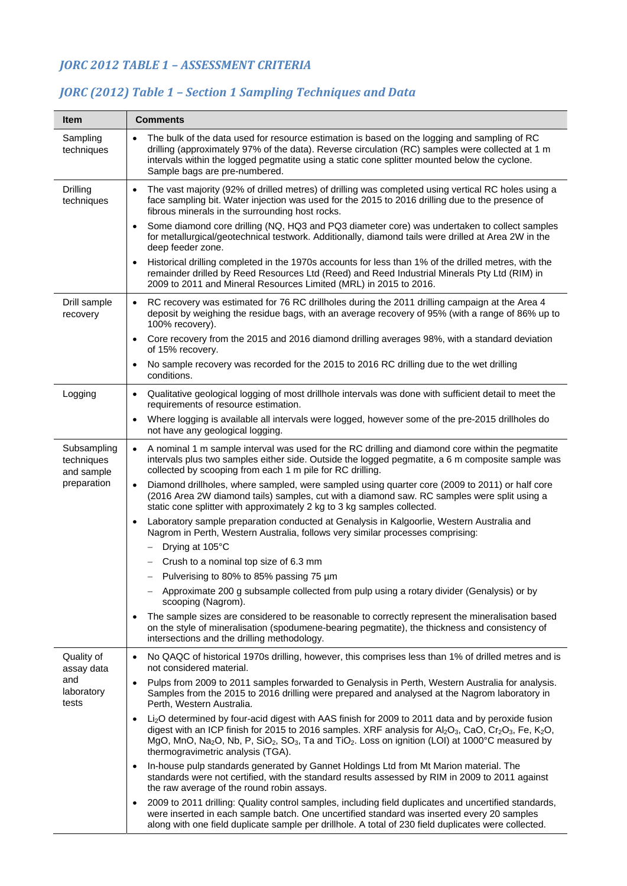# *JORC 2012 TABLE 1 – ASSESSMENT CRITERIA*

#### **Item Comments**  Sampling techniques The bulk of the data used for resource estimation is based on the logging and sampling of RC drilling (approximately 97% of the data). Reverse circulation (RC) samples were collected at 1 m intervals within the logged pegmatite using a static cone splitter mounted below the cyclone. Sample bags are pre-numbered. Drilling techniques The vast majority (92% of drilled metres) of drilling was completed using vertical RC holes using a face sampling bit. Water injection was used for the 2015 to 2016 drilling due to the presence of fibrous minerals in the surrounding host rocks. Some diamond core drilling (NQ, HQ3 and PQ3 diameter core) was undertaken to collect samples for metallurgical/geotechnical testwork. Additionally, diamond tails were drilled at Area 2W in the deep feeder zone. Historical drilling completed in the 1970s accounts for less than 1% of the drilled metres, with the remainder drilled by Reed Resources Ltd (Reed) and Reed Industrial Minerals Pty Ltd (RIM) in 2009 to 2011 and Mineral Resources Limited (MRL) in 2015 to 2016. Drill sample recovery RC recovery was estimated for 76 RC drillholes during the 2011 drilling campaign at the Area 4 deposit by weighing the residue bags, with an average recovery of 95% (with a range of 86% up to 100% recovery). Core recovery from the 2015 and 2016 diamond drilling averages 98%, with a standard deviation of 15% recovery. • No sample recovery was recorded for the 2015 to 2016 RC drilling due to the wet drilling conditions. Logging **|** Qualitative geological logging of most drillhole intervals was done with sufficient detail to meet the requirements of resource estimation. Where logging is available all intervals were logged, however some of the pre-2015 drillholes do not have any geological logging. Subsampling techniques and sample preparation A nominal 1 m sample interval was used for the RC drilling and diamond core within the pegmatite intervals plus two samples either side. Outside the logged pegmatite, a 6 m composite sample was collected by scooping from each 1 m pile for RC drilling. Diamond drillholes, where sampled, were sampled using quarter core (2009 to 2011) or half core (2016 Area 2W diamond tails) samples, cut with a diamond saw. RC samples were split using a static cone splitter with approximately 2 kg to 3 kg samples collected. Laboratory sample preparation conducted at Genalysis in Kalgoorlie, Western Australia and Nagrom in Perth, Western Australia, follows very similar processes comprising: Drying at 105°C Crush to a nominal top size of 6.3 mm Pulverising to 80% to 85% passing 75 µm Approximate 200 g subsample collected from pulp using a rotary divider (Genalysis) or by scooping (Nagrom). The sample sizes are considered to be reasonable to correctly represent the mineralisation based on the style of mineralisation (spodumene-bearing pegmatite), the thickness and consistency of intersections and the drilling methodology. Quality of assay data and laboratory tests • No QAQC of historical 1970s drilling, however, this comprises less than 1% of drilled metres and is not considered material. Pulps from 2009 to 2011 samples forwarded to Genalysis in Perth, Western Australia for analysis. Samples from the 2015 to 2016 drilling were prepared and analysed at the Nagrom laboratory in Perth, Western Australia. Li2O determined by four-acid digest with AAS finish for 2009 to 2011 data and by peroxide fusion digest with an ICP finish for 2015 to 2016 samples. XRF analysis for  $Al_2O_3$ , CaO, Cr<sub>2</sub>O<sub>3</sub>, Fe, K<sub>2</sub>O, MgO, MnO, Na<sub>2</sub>O, Nb, P, SiO<sub>2</sub>, SO<sub>3</sub>, Ta and TiO<sub>2</sub>. Loss on ignition (LOI) at 1000°C measured by thermogravimetric analysis (TGA). In-house pulp standards generated by Gannet Holdings Ltd from Mt Marion material. The standards were not certified, with the standard results assessed by RIM in 2009 to 2011 against the raw average of the round robin assays. 2009 to 2011 drilling: Quality control samples, including field duplicates and uncertified standards, were inserted in each sample batch. One uncertified standard was inserted every 20 samples along with one field duplicate sample per drillhole. A total of 230 field duplicates were collected.

## *JORC (2012) Table 1 – Section 1 Sampling Techniques and Data*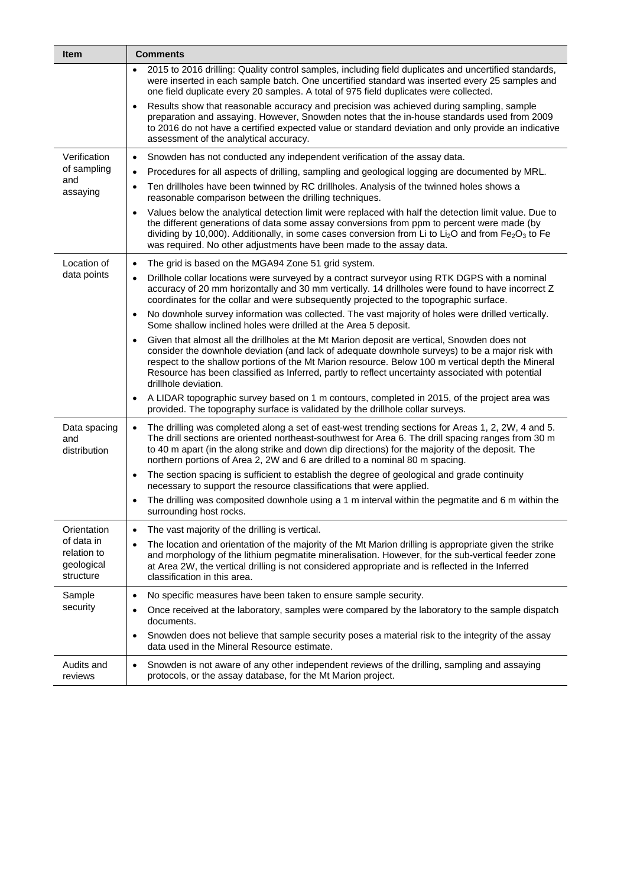| <b>Item</b>                                          | <b>Comments</b>                                                                                                                                                                                                                                                                                                                                                                                                                                |  |  |
|------------------------------------------------------|------------------------------------------------------------------------------------------------------------------------------------------------------------------------------------------------------------------------------------------------------------------------------------------------------------------------------------------------------------------------------------------------------------------------------------------------|--|--|
|                                                      | 2015 to 2016 drilling: Quality control samples, including field duplicates and uncertified standards,<br>$\bullet$<br>were inserted in each sample batch. One uncertified standard was inserted every 25 samples and<br>one field duplicate every 20 samples. A total of 975 field duplicates were collected.                                                                                                                                  |  |  |
|                                                      | Results show that reasonable accuracy and precision was achieved during sampling, sample<br>$\bullet$<br>preparation and assaying. However, Snowden notes that the in-house standards used from 2009<br>to 2016 do not have a certified expected value or standard deviation and only provide an indicative<br>assessment of the analytical accuracy.                                                                                          |  |  |
| Verification                                         | Snowden has not conducted any independent verification of the assay data.<br>$\bullet$                                                                                                                                                                                                                                                                                                                                                         |  |  |
| of sampling                                          | Procedures for all aspects of drilling, sampling and geological logging are documented by MRL.<br>$\bullet$                                                                                                                                                                                                                                                                                                                                    |  |  |
| and<br>assaying                                      | Ten drillholes have been twinned by RC drillholes. Analysis of the twinned holes shows a<br>$\bullet$<br>reasonable comparison between the drilling techniques.                                                                                                                                                                                                                                                                                |  |  |
|                                                      | Values below the analytical detection limit were replaced with half the detection limit value. Due to<br>$\bullet$<br>the different generations of data some assay conversions from ppm to percent were made (by<br>dividing by 10,000). Additionally, in some cases conversion from Li to Li <sub>2</sub> O and from Fe <sub>2</sub> O <sub>3</sub> to Fe<br>was required. No other adjustments have been made to the assay data.             |  |  |
| Location of                                          | The grid is based on the MGA94 Zone 51 grid system.<br>$\bullet$                                                                                                                                                                                                                                                                                                                                                                               |  |  |
| data points                                          | Drillhole collar locations were surveyed by a contract surveyor using RTK DGPS with a nominal<br>$\bullet$<br>accuracy of 20 mm horizontally and 30 mm vertically. 14 drillholes were found to have incorrect Z<br>coordinates for the collar and were subsequently projected to the topographic surface.                                                                                                                                      |  |  |
|                                                      | No downhole survey information was collected. The vast majority of holes were drilled vertically.<br>$\bullet$<br>Some shallow inclined holes were drilled at the Area 5 deposit.                                                                                                                                                                                                                                                              |  |  |
|                                                      | Given that almost all the drillholes at the Mt Marion deposit are vertical, Snowden does not<br>$\bullet$<br>consider the downhole deviation (and lack of adequate downhole surveys) to be a major risk with<br>respect to the shallow portions of the Mt Marion resource. Below 100 m vertical depth the Mineral<br>Resource has been classified as Inferred, partly to reflect uncertainty associated with potential<br>drillhole deviation. |  |  |
|                                                      | A LIDAR topographic survey based on 1 m contours, completed in 2015, of the project area was<br>$\bullet$<br>provided. The topography surface is validated by the drillhole collar surveys.                                                                                                                                                                                                                                                    |  |  |
| Data spacing<br>and<br>distribution                  | The drilling was completed along a set of east-west trending sections for Areas 1, 2, 2W, 4 and 5.<br>$\bullet$<br>The drill sections are oriented northeast-southwest for Area 6. The drill spacing ranges from 30 m<br>to 40 m apart (in the along strike and down dip directions) for the majority of the deposit. The<br>northern portions of Area 2, 2W and 6 are drilled to a nominal 80 m spacing.                                      |  |  |
|                                                      | The section spacing is sufficient to establish the degree of geological and grade continuity<br>$\bullet$<br>necessary to support the resource classifications that were applied.                                                                                                                                                                                                                                                              |  |  |
|                                                      | The drilling was composited downhole using a 1 m interval within the pegmatite and 6 m within the<br>$\bullet$<br>surrounding host rocks.                                                                                                                                                                                                                                                                                                      |  |  |
| Orientation                                          | The vast majority of the drilling is vertical.<br>$\bullet$                                                                                                                                                                                                                                                                                                                                                                                    |  |  |
| of data in<br>relation to<br>geological<br>structure | The location and orientation of the majority of the Mt Marion drilling is appropriate given the strike<br>$\bullet$<br>and morphology of the lithium pegmatite mineralisation. However, for the sub-vertical feeder zone<br>at Area 2W, the vertical drilling is not considered appropriate and is reflected in the Inferred<br>classification in this area.                                                                                   |  |  |
| Sample                                               | No specific measures have been taken to ensure sample security.<br>$\bullet$                                                                                                                                                                                                                                                                                                                                                                   |  |  |
| security                                             | Once received at the laboratory, samples were compared by the laboratory to the sample dispatch<br>$\bullet$<br>documents.                                                                                                                                                                                                                                                                                                                     |  |  |
|                                                      | Snowden does not believe that sample security poses a material risk to the integrity of the assay<br>$\bullet$<br>data used in the Mineral Resource estimate.                                                                                                                                                                                                                                                                                  |  |  |
| Audits and<br>reviews                                | Snowden is not aware of any other independent reviews of the drilling, sampling and assaying<br>$\bullet$<br>protocols, or the assay database, for the Mt Marion project.                                                                                                                                                                                                                                                                      |  |  |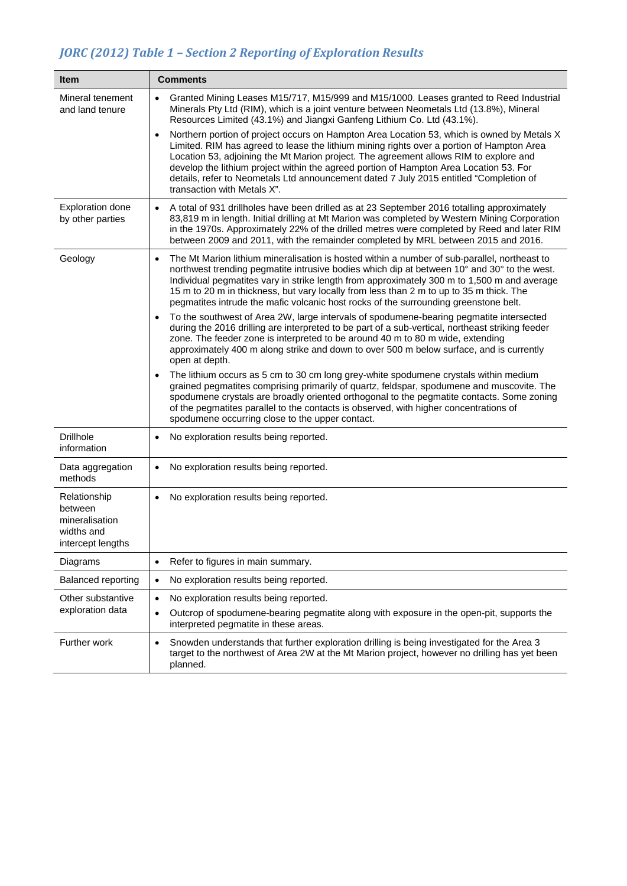# *JORC (2012) Table 1 – Section 2 Reporting of Exploration Results*

| <b>Item</b>                                                                  | <b>Comments</b>                                                                                                                                                                                                                                                                                                                                                                                                                                                                                                  |
|------------------------------------------------------------------------------|------------------------------------------------------------------------------------------------------------------------------------------------------------------------------------------------------------------------------------------------------------------------------------------------------------------------------------------------------------------------------------------------------------------------------------------------------------------------------------------------------------------|
| Mineral tenement<br>and land tenure                                          | Granted Mining Leases M15/717, M15/999 and M15/1000. Leases granted to Reed Industrial<br>$\bullet$<br>Minerals Pty Ltd (RIM), which is a joint venture between Neometals Ltd (13.8%), Mineral<br>Resources Limited (43.1%) and Jiangxi Ganfeng Lithium Co. Ltd (43.1%).                                                                                                                                                                                                                                         |
|                                                                              | Northern portion of project occurs on Hampton Area Location 53, which is owned by Metals X<br>$\bullet$<br>Limited. RIM has agreed to lease the lithium mining rights over a portion of Hampton Area<br>Location 53, adjoining the Mt Marion project. The agreement allows RIM to explore and<br>develop the lithium project within the agreed portion of Hampton Area Location 53. For<br>details, refer to Neometals Ltd announcement dated 7 July 2015 entitled "Completion of<br>transaction with Metals X". |
| <b>Exploration done</b><br>by other parties                                  | A total of 931 drillholes have been drilled as at 23 September 2016 totalling approximately<br>$\bullet$<br>83,819 m in length. Initial drilling at Mt Marion was completed by Western Mining Corporation<br>in the 1970s. Approximately 22% of the drilled metres were completed by Reed and later RIM<br>between 2009 and 2011, with the remainder completed by MRL between 2015 and 2016.                                                                                                                     |
| Geology                                                                      | The Mt Marion lithium mineralisation is hosted within a number of sub-parallel, northeast to<br>$\bullet$<br>northwest trending pegmatite intrusive bodies which dip at between 10° and 30° to the west.<br>Individual pegmatites vary in strike length from approximately 300 m to 1,500 m and average<br>15 m to 20 m in thickness, but vary locally from less than 2 m to up to 35 m thick. The<br>pegmatites intrude the mafic volcanic host rocks of the surrounding greenstone belt.                       |
|                                                                              | To the southwest of Area 2W, large intervals of spodumene-bearing pegmatite intersected<br>$\bullet$<br>during the 2016 drilling are interpreted to be part of a sub-vertical, northeast striking feeder<br>zone. The feeder zone is interpreted to be around 40 m to 80 m wide, extending<br>approximately 400 m along strike and down to over 500 m below surface, and is currently<br>open at depth.                                                                                                          |
|                                                                              | The lithium occurs as 5 cm to 30 cm long grey-white spodumene crystals within medium<br>$\bullet$<br>grained pegmatites comprising primarily of quartz, feldspar, spodumene and muscovite. The<br>spodumene crystals are broadly oriented orthogonal to the pegmatite contacts. Some zoning<br>of the pegmatites parallel to the contacts is observed, with higher concentrations of<br>spodumene occurring close to the upper contact.                                                                          |
| <b>Drillhole</b><br>information                                              | No exploration results being reported.<br>$\bullet$                                                                                                                                                                                                                                                                                                                                                                                                                                                              |
| Data aggregation<br>methods                                                  | No exploration results being reported.<br>$\bullet$                                                                                                                                                                                                                                                                                                                                                                                                                                                              |
| Relationship<br>between<br>mineralisation<br>widths and<br>intercept lengths | No exploration results being reported.<br>$\bullet$                                                                                                                                                                                                                                                                                                                                                                                                                                                              |
| Diagrams                                                                     | Refer to figures in main summary.<br>$\bullet$                                                                                                                                                                                                                                                                                                                                                                                                                                                                   |
| <b>Balanced reporting</b>                                                    | No exploration results being reported.<br>$\bullet$                                                                                                                                                                                                                                                                                                                                                                                                                                                              |
| Other substantive<br>exploration data                                        | No exploration results being reported.<br>$\bullet$<br>Outcrop of spodumene-bearing pegmatite along with exposure in the open-pit, supports the<br>$\bullet$<br>interpreted pegmatite in these areas.                                                                                                                                                                                                                                                                                                            |
| Further work                                                                 | Snowden understands that further exploration drilling is being investigated for the Area 3<br>$\bullet$<br>target to the northwest of Area 2W at the Mt Marion project, however no drilling has yet been<br>planned.                                                                                                                                                                                                                                                                                             |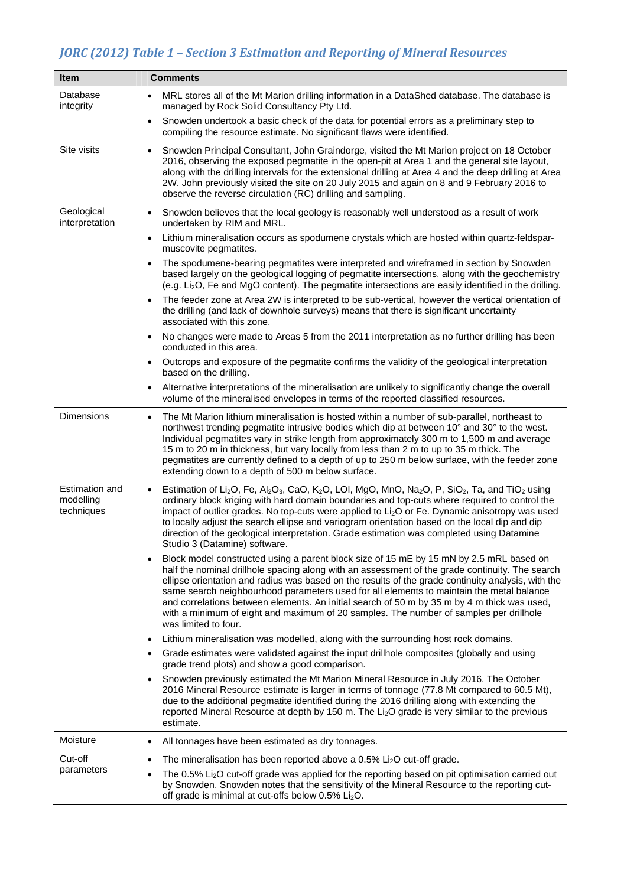# *JORC (2012) Table 1 – Section 3 Estimation and Reporting of Mineral Resources*

| <b>Item</b>                               | <b>Comments</b>                                                                                                                                                                                                                                                                                                                                                                                                                                                                                                                                                                                                                                |
|-------------------------------------------|------------------------------------------------------------------------------------------------------------------------------------------------------------------------------------------------------------------------------------------------------------------------------------------------------------------------------------------------------------------------------------------------------------------------------------------------------------------------------------------------------------------------------------------------------------------------------------------------------------------------------------------------|
| Database<br>integrity                     | MRL stores all of the Mt Marion drilling information in a DataShed database. The database is<br>managed by Rock Solid Consultancy Pty Ltd.                                                                                                                                                                                                                                                                                                                                                                                                                                                                                                     |
|                                           | Snowden undertook a basic check of the data for potential errors as a preliminary step to<br>compiling the resource estimate. No significant flaws were identified.                                                                                                                                                                                                                                                                                                                                                                                                                                                                            |
| Site visits                               | Snowden Principal Consultant, John Graindorge, visited the Mt Marion project on 18 October<br>$\bullet$<br>2016, observing the exposed pegmatite in the open-pit at Area 1 and the general site layout,<br>along with the drilling intervals for the extensional drilling at Area 4 and the deep drilling at Area<br>2W. John previously visited the site on 20 July 2015 and again on 8 and 9 February 2016 to<br>observe the reverse circulation (RC) drilling and sampling.                                                                                                                                                                 |
| Geological<br>interpretation              | Snowden believes that the local geology is reasonably well understood as a result of work<br>$\bullet$<br>undertaken by RIM and MRL.                                                                                                                                                                                                                                                                                                                                                                                                                                                                                                           |
|                                           | Lithium mineralisation occurs as spodumene crystals which are hosted within quartz-feldspar-<br>$\bullet$<br>muscovite pegmatites.                                                                                                                                                                                                                                                                                                                                                                                                                                                                                                             |
|                                           | The spodumene-bearing pegmatites were interpreted and wireframed in section by Snowden<br>based largely on the geological logging of pegmatite intersections, along with the geochemistry<br>(e.g. Li <sub>2</sub> O, Fe and MgO content). The pegmatite intersections are easily identified in the drilling.                                                                                                                                                                                                                                                                                                                                  |
|                                           | The feeder zone at Area 2W is interpreted to be sub-vertical, however the vertical orientation of<br>the drilling (and lack of downhole surveys) means that there is significant uncertainty<br>associated with this zone.                                                                                                                                                                                                                                                                                                                                                                                                                     |
|                                           | No changes were made to Areas 5 from the 2011 interpretation as no further drilling has been<br>conducted in this area.                                                                                                                                                                                                                                                                                                                                                                                                                                                                                                                        |
|                                           | Outcrops and exposure of the pegmatite confirms the validity of the geological interpretation<br>$\bullet$<br>based on the drilling.                                                                                                                                                                                                                                                                                                                                                                                                                                                                                                           |
|                                           | Alternative interpretations of the mineralisation are unlikely to significantly change the overall<br>volume of the mineralised envelopes in terms of the reported classified resources.                                                                                                                                                                                                                                                                                                                                                                                                                                                       |
| <b>Dimensions</b>                         | The Mt Marion lithium mineralisation is hosted within a number of sub-parallel, northeast to<br>$\bullet$<br>northwest trending pegmatite intrusive bodies which dip at between 10° and 30° to the west.<br>Individual pegmatites vary in strike length from approximately 300 m to 1,500 m and average<br>15 m to 20 m in thickness, but vary locally from less than 2 m to up to 35 m thick. The<br>pegmatites are currently defined to a depth of up to 250 m below surface, with the feeder zone<br>extending down to a depth of 500 m below surface.                                                                                      |
| Estimation and<br>modelling<br>techniques | Estimation of Li <sub>2</sub> O, Fe, Al <sub>2</sub> O <sub>3</sub> , CaO, K <sub>2</sub> O, LOI, MgO, MnO, Na <sub>2</sub> O, P, SiO <sub>2</sub> , Ta, and TiO <sub>2</sub> using<br>$\bullet$<br>ordinary block kriging with hard domain boundaries and top-cuts where required to control the<br>impact of outlier grades. No top-cuts were applied to Li <sub>2</sub> O or Fe. Dynamic anisotropy was used<br>to locally adjust the search ellipse and variogram orientation based on the local dip and dip<br>direction of the geological interpretation. Grade estimation was completed using Datamine<br>Studio 3 (Datamine) software. |
|                                           | Block model constructed using a parent block size of 15 mE by 15 mN by 2.5 mRL based on<br>half the nominal drillhole spacing along with an assessment of the grade continuity. The search<br>ellipse orientation and radius was based on the results of the grade continuity analysis, with the<br>same search neighbourhood parameters used for all elements to maintain the metal balance<br>and correlations between elements. An initial search of 50 m by 35 m by 4 m thick was used,<br>with a minimum of eight and maximum of 20 samples. The number of samples per drillhole<br>was limited to four.                                  |
|                                           | Lithium mineralisation was modelled, along with the surrounding host rock domains.<br>$\bullet$                                                                                                                                                                                                                                                                                                                                                                                                                                                                                                                                                |
|                                           | Grade estimates were validated against the input drillhole composites (globally and using<br>grade trend plots) and show a good comparison.                                                                                                                                                                                                                                                                                                                                                                                                                                                                                                    |
|                                           | Snowden previously estimated the Mt Marion Mineral Resource in July 2016. The October<br>$\bullet$<br>2016 Mineral Resource estimate is larger in terms of tonnage (77.8 Mt compared to 60.5 Mt),<br>due to the additional pegmatite identified during the 2016 drilling along with extending the<br>reported Mineral Resource at depth by 150 m. The Li <sub>2</sub> O grade is very similar to the previous<br>estimate.                                                                                                                                                                                                                     |
| Moisture                                  | All tonnages have been estimated as dry tonnages.<br>$\bullet$                                                                                                                                                                                                                                                                                                                                                                                                                                                                                                                                                                                 |
| Cut-off                                   | The mineralisation has been reported above a 0.5% Li <sub>2</sub> O cut-off grade.<br>$\bullet$                                                                                                                                                                                                                                                                                                                                                                                                                                                                                                                                                |
| parameters                                | The 0.5% Li <sub>2</sub> O cut-off grade was applied for the reporting based on pit optimisation carried out<br>٠<br>by Snowden. Snowden notes that the sensitivity of the Mineral Resource to the reporting cut-<br>off grade is minimal at cut-offs below 0.5% Li <sub>2</sub> O.                                                                                                                                                                                                                                                                                                                                                            |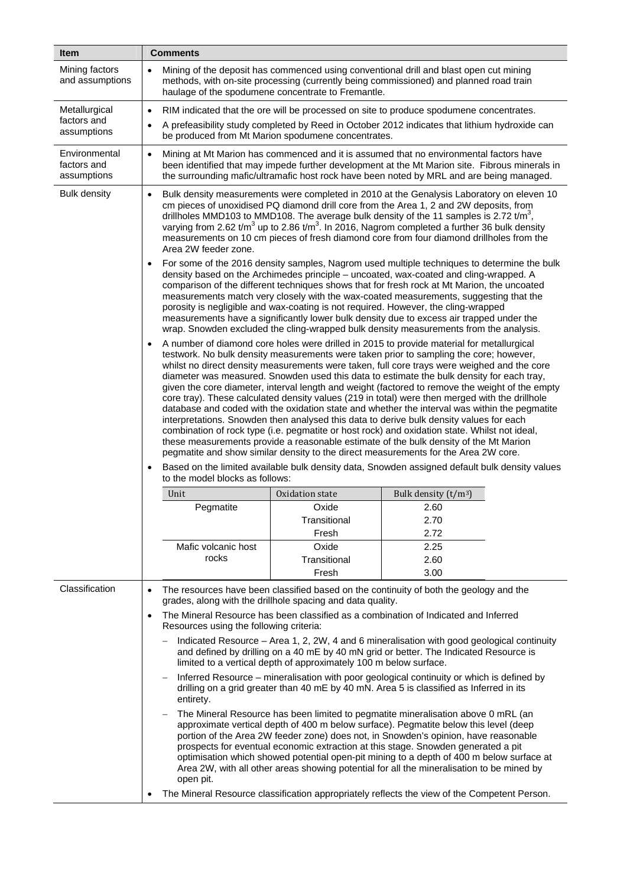| <b>Item</b>                                 | <b>Comments</b>                                                                                                                                                                                                                                                                                                                                                                                                                                                                                                                                                                                                                                                                                                                                                                                                                                                                                                                                                                                                                                                   |  |  |  |  |
|---------------------------------------------|-------------------------------------------------------------------------------------------------------------------------------------------------------------------------------------------------------------------------------------------------------------------------------------------------------------------------------------------------------------------------------------------------------------------------------------------------------------------------------------------------------------------------------------------------------------------------------------------------------------------------------------------------------------------------------------------------------------------------------------------------------------------------------------------------------------------------------------------------------------------------------------------------------------------------------------------------------------------------------------------------------------------------------------------------------------------|--|--|--|--|
| Mining factors<br>and assumptions           | Mining of the deposit has commenced using conventional drill and blast open cut mining<br>methods, with on-site processing (currently being commissioned) and planned road train<br>haulage of the spodumene concentrate to Fremantle.                                                                                                                                                                                                                                                                                                                                                                                                                                                                                                                                                                                                                                                                                                                                                                                                                            |  |  |  |  |
| Metallurgical                               | RIM indicated that the ore will be processed on site to produce spodumene concentrates.                                                                                                                                                                                                                                                                                                                                                                                                                                                                                                                                                                                                                                                                                                                                                                                                                                                                                                                                                                           |  |  |  |  |
| factors and<br>assumptions                  | A prefeasibility study completed by Reed in October 2012 indicates that lithium hydroxide can<br>be produced from Mt Marion spodumene concentrates.                                                                                                                                                                                                                                                                                                                                                                                                                                                                                                                                                                                                                                                                                                                                                                                                                                                                                                               |  |  |  |  |
| Environmental<br>factors and<br>assumptions | Mining at Mt Marion has commenced and it is assumed that no environmental factors have<br>been identified that may impede further development at the Mt Marion site. Fibrous minerals in<br>the surrounding mafic/ultramafic host rock have been noted by MRL and are being managed.                                                                                                                                                                                                                                                                                                                                                                                                                                                                                                                                                                                                                                                                                                                                                                              |  |  |  |  |
| <b>Bulk density</b>                         | Bulk density measurements were completed in 2010 at the Genalysis Laboratory on eleven 10<br>cm pieces of unoxidised PQ diamond drill core from the Area 1, 2 and 2W deposits, from<br>drillholes MMD103 to MMD108. The average bulk density of the 11 samples is 2.72 t/m <sup>3</sup> ,<br>varying from 2.62 t/m <sup>3</sup> up to 2.86 t/m <sup>3</sup> . In 2016, Nagrom completed a further 36 bulk density<br>measurements on 10 cm pieces of fresh diamond core from four diamond drillholes from the<br>Area 2W feeder zone.                                                                                                                                                                                                                                                                                                                                                                                                                                                                                                                             |  |  |  |  |
|                                             | For some of the 2016 density samples, Nagrom used multiple techniques to determine the bulk<br>density based on the Archimedes principle - uncoated, wax-coated and cling-wrapped. A<br>comparison of the different techniques shows that for fresh rock at Mt Marion, the uncoated<br>measurements match very closely with the wax-coated measurements, suggesting that the<br>porosity is negligible and wax-coating is not required. However, the cling-wrapped<br>measurements have a significantly lower bulk density due to excess air trapped under the<br>wrap. Snowden excluded the cling-wrapped bulk density measurements from the analysis.                                                                                                                                                                                                                                                                                                                                                                                                           |  |  |  |  |
|                                             | A number of diamond core holes were drilled in 2015 to provide material for metallurgical<br>testwork. No bulk density measurements were taken prior to sampling the core; however,<br>whilst no direct density measurements were taken, full core trays were weighed and the core<br>diameter was measured. Snowden used this data to estimate the bulk density for each tray,<br>given the core diameter, interval length and weight (factored to remove the weight of the empty<br>core tray). These calculated density values (219 in total) were then merged with the drillhole<br>database and coded with the oxidation state and whether the interval was within the pegmatite<br>interpretations. Snowden then analysed this data to derive bulk density values for each<br>combination of rock type (i.e. pegmatite or host rock) and oxidation state. Whilst not ideal,<br>these measurements provide a reasonable estimate of the bulk density of the Mt Marion<br>pegmatite and show similar density to the direct measurements for the Area 2W core. |  |  |  |  |
|                                             | Based on the limited available bulk density data, Snowden assigned default bulk density values<br>to the model blocks as follows:                                                                                                                                                                                                                                                                                                                                                                                                                                                                                                                                                                                                                                                                                                                                                                                                                                                                                                                                 |  |  |  |  |
|                                             | Oxidation state<br>Unit<br>Bulk density $(t/m^3)$                                                                                                                                                                                                                                                                                                                                                                                                                                                                                                                                                                                                                                                                                                                                                                                                                                                                                                                                                                                                                 |  |  |  |  |
|                                             | Pegmatite<br>Oxide<br>2.60                                                                                                                                                                                                                                                                                                                                                                                                                                                                                                                                                                                                                                                                                                                                                                                                                                                                                                                                                                                                                                        |  |  |  |  |
|                                             | Transitional<br>2.70                                                                                                                                                                                                                                                                                                                                                                                                                                                                                                                                                                                                                                                                                                                                                                                                                                                                                                                                                                                                                                              |  |  |  |  |
|                                             | 2.72<br>Fresh                                                                                                                                                                                                                                                                                                                                                                                                                                                                                                                                                                                                                                                                                                                                                                                                                                                                                                                                                                                                                                                     |  |  |  |  |
|                                             | Oxide<br>Mafic volcanic host<br>2.25<br>rocks                                                                                                                                                                                                                                                                                                                                                                                                                                                                                                                                                                                                                                                                                                                                                                                                                                                                                                                                                                                                                     |  |  |  |  |
|                                             | Transitional<br>2.60<br>3.00<br>Fresh                                                                                                                                                                                                                                                                                                                                                                                                                                                                                                                                                                                                                                                                                                                                                                                                                                                                                                                                                                                                                             |  |  |  |  |
| Classification                              | The resources have been classified based on the continuity of both the geology and the                                                                                                                                                                                                                                                                                                                                                                                                                                                                                                                                                                                                                                                                                                                                                                                                                                                                                                                                                                            |  |  |  |  |
|                                             | grades, along with the drillhole spacing and data quality.                                                                                                                                                                                                                                                                                                                                                                                                                                                                                                                                                                                                                                                                                                                                                                                                                                                                                                                                                                                                        |  |  |  |  |
|                                             | The Mineral Resource has been classified as a combination of Indicated and Inferred<br>Resources using the following criteria:                                                                                                                                                                                                                                                                                                                                                                                                                                                                                                                                                                                                                                                                                                                                                                                                                                                                                                                                    |  |  |  |  |
|                                             | Indicated Resource - Area 1, 2, 2W, 4 and 6 mineralisation with good geological continuity<br>$\overline{\phantom{m}}$<br>and defined by drilling on a 40 mE by 40 mN grid or better. The Indicated Resource is<br>limited to a vertical depth of approximately 100 m below surface.                                                                                                                                                                                                                                                                                                                                                                                                                                                                                                                                                                                                                                                                                                                                                                              |  |  |  |  |
|                                             | Inferred Resource – mineralisation with poor geological continuity or which is defined by<br>drilling on a grid greater than 40 mE by 40 mN. Area 5 is classified as Inferred in its<br>entirety.                                                                                                                                                                                                                                                                                                                                                                                                                                                                                                                                                                                                                                                                                                                                                                                                                                                                 |  |  |  |  |
|                                             | The Mineral Resource has been limited to pegmatite mineralisation above 0 mRL (an<br>approximate vertical depth of 400 m below surface). Pegmatite below this level (deep<br>portion of the Area 2W feeder zone) does not, in Snowden's opinion, have reasonable<br>prospects for eventual economic extraction at this stage. Snowden generated a pit<br>optimisation which showed potential open-pit mining to a depth of 400 m below surface at<br>Area 2W, with all other areas showing potential for all the mineralisation to be mined by<br>open pit.                                                                                                                                                                                                                                                                                                                                                                                                                                                                                                       |  |  |  |  |
|                                             | The Mineral Resource classification appropriately reflects the view of the Competent Person.                                                                                                                                                                                                                                                                                                                                                                                                                                                                                                                                                                                                                                                                                                                                                                                                                                                                                                                                                                      |  |  |  |  |